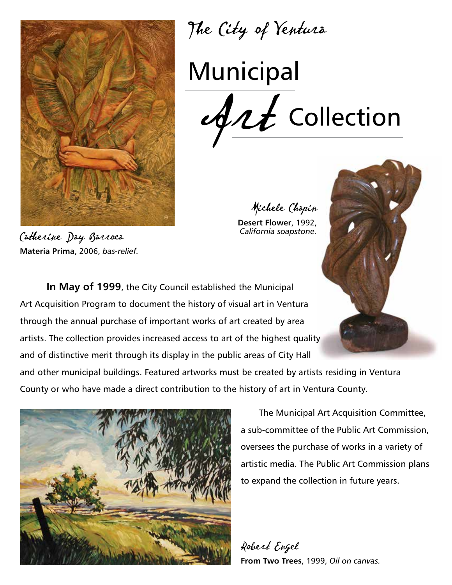

**Materia Prima**, 2006, *bas-relief.*

The City of Ventura

# Municipal ArtCollection

Michele Chapin **Desert Flower**, 1992, *California soapstone.*

**In May of 1999**, the City Council established the Municipal Art Acquisition Program to document the history of visual art in Ventura through the annual purchase of important works of art created by area artists. The collection provides increased access to art of the highest quality and of distinctive merit through its display in the public areas of City Hall

and other municipal buildings. Featured artworks must be created by artists residing in Ventura County or who have made a direct contribution to the history of art in Ventura County.



The Municipal Art Acquisition Committee, a sub-committee of the Public Art Commission, oversees the purchase of works in a variety of artistic media. The Public Art Commission plans to expand the collection in future years.

Robert Engel **From Two Trees**, 1999, *Oil on canvas.*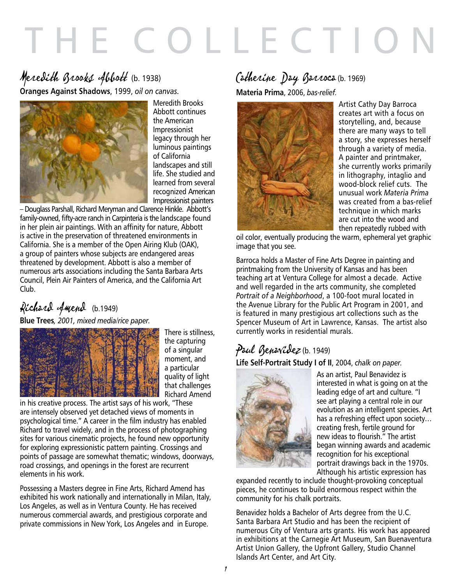# THE COLLECTION

#### Meredith Brooks Abbott(b. 1938) **Oranges Against Shadows**, 1999, *oil on canvas.*

Meredith Brooks Abbott continues the American Impressionist legacy through her luminous paintings of California landscapes and still life. She studied and learned from several recognized American Impressionist painters

– Douglass Parshall, Richard Meryman and Clarence Hinkle. Abbott's family-owned, fifty-acre ranch in Carpinteria is the landscape found in her plein air paintings. With an affinity for nature, Abbott is active in the preservation of threatened environments in California. She is a member of the Open Airing Klub (OAK), a group of painters whose subjects are endangered areas threatened by development. Abbott is also a member of numerous arts associations including the Santa Barbara Arts Council, Plein Air Painters of America, and the California Art Club.

# Richard Amend (b.1949)

**Blue Trees***, 2001, mixed media/rice paper.*



There is stillness, the capturing of a singular moment, and a particular quality of light that challenges Richard Amend

in his creative process. The artist says of his work, "These are intensely observed yet detached views of moments in psychological time." A career in the film industry has enabled Richard to travel widely, and in the process of photographing sites for various cinematic projects, he found new opportunity for exploring expressionistic pattern painting. Crossings and points of passage are somewhat thematic; windows, doorways, road crossings, and openings in the forest are recurrent elements in his work.

Possessing a Masters degree in Fine Arts, Richard Amend has exhibited his work nationally and internationally in Milan, Italy, Los Angeles, as well as in Ventura County. He has received numerous commercial awards, and prestigious corporate and private commissions in New York, Los Angeles and in Europe.

# Catherine Day Barroca (b. 1969)

**Materia Prima**, 2006, *bas-relief.*



Artist Cathy Day Barroca creates art with a focus on storytelling, and, because there are many ways to tell a story, she expresses herself through a variety of media. A painter and printmaker, she currently works primarily in lithography, intaglio and wood-block relief cuts. The unusual work *Materia Prima* was created from a bas-relief technique in which marks are cut into the wood and then repeatedly rubbed with

oil color, eventually producing the warm, ephemeral yet graphic image that you see.

Barroca holds a Master of Fine Arts Degree in painting and printmaking from the University of Kansas and has been teaching art at Ventura College for almost a decade. Active and well regarded in the arts community, she completed *Portrait of a Neighborhood*, a 100-foot mural located in the Avenue Library for the Public Art Program in 2001, and is featured in many prestigious art collections such as the Spencer Museum of Art in Lawrence, Kansas. The artist also currently works in residential murals.

# Paul Benavidez (b. 1949)

**Life Self-Portrait Study I of II**, 2004, *chalk on paper.*



As an artist, Paul Benavidez is interested in what is going on at the leading edge of art and culture. "I see art playing a central role in our evolution as an intelligent species. Art has a refreshing effect upon society… creating fresh, fertile ground for new ideas to flourish." The artist began winning awards and academic recognition for his exceptional portrait drawings back in the 1970s. Although his artistic expression has

expanded recently to include thought-provoking conceptual pieces, he continues to build enormous respect within the community for his chalk portraits.

Benavidez holds a Bachelor of Arts degree from the U.C. Santa Barbara Art Studio and has been the recipient of numerous City of Ventura arts grants. His work has appeared in exhibitions at the Carnegie Art Museum, San Buenaventura Artist Union Gallery, the Upfront Gallery, Studio Channel Islands Art Center, and Art City.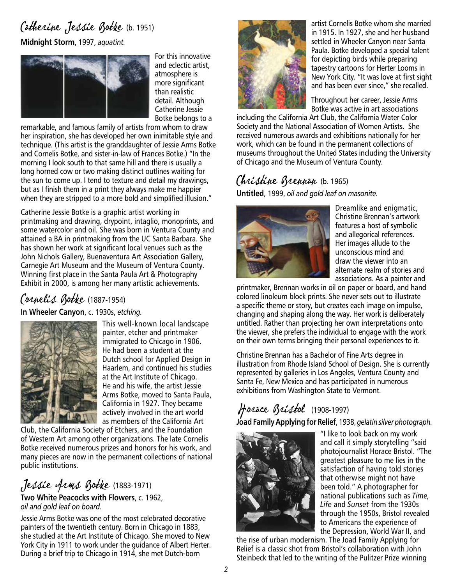# Catherine Jessie Botke (b. 1951)

**Midnight Storm**, 1997, *aquatint.*



For this innovative and eclectic artist, atmosphere is more significant than realistic detail. Although Catherine Jessie Botke belongs to a

remarkable, and famous family of artists from whom to draw her inspiration, she has developed her own inimitable style and technique. (This artist is the granddaughter of Jessie Arms Botke and Cornelis Botke, and sister-in-law of Frances Botke.) "In the morning I look south to that same hill and there is usually a long horned cow or two making distinct outlines waiting for the sun to come up. I tend to texture and detail my drawings, but as I finish them in a print they always make me happier when they are stripped to a more bold and simplified illusion."

Catherine Jessie Botke is a graphic artist working in printmaking and drawing, drypoint, intaglio, monoprints, and some watercolor and oil. She was born in Ventura County and attained a BA in printmaking from the UC Santa Barbara. She has shown her work at significant local venues such as the John Nichols Gallery, Buenaventura Art Association Gallery, Carnegie Art Museum and the Museum of Ventura County. Winning first place in the Santa Paula Art & Photography Exhibit in 2000, is among her many artistic achievements.

#### Cornelis Botke (1887-1954)

**In Wheeler Canyon**, c. 1930s, *etching.*



This well-known local landscape painter, etcher and printmaker immigrated to Chicago in 1906. He had been a student at the Dutch school for Applied Design in Haarlem, and continued his studies at the Art Institute of Chicago. He and his wife, the artist Jessie Arms Botke, moved to Santa Paula, California in 1927. They became actively involved in the art world as members of the California Art

Club, the California Society of Etchers, and the Foundation of Western Art among other organizations. The late Cornelis Botke received numerous prizes and honors for his work, and many pieces are now in the permanent collections of national public institutions.

Jessie Arms Botke (1883-1971)

**Two White Peacocks with Flowers**, c. 1962, *oil and gold leaf on board.*

Jessie Arms Botke was one of the most celebrated decorative painters of the twentieth century. Born in Chicago in 1883, she studied at the Art Institute of Chicago. She moved to New York City in 1911 to work under the guidance of Albert Herter. During a brief trip to Chicago in 1914, she met Dutch-born



artist Cornelis Botke whom she married in 1915. In 1927, she and her husband settled in Wheeler Canyon near Santa Paula. Botke developed a special talent for depicting birds while preparing tapestry cartoons for Herter Looms in New York City. "It was love at first sight and has been ever since," she recalled.

Throughout her career, Jessie Arms Botke was active in art associations

including the California Art Club, the California Water Color Society and the National Association of Women Artists. She received numerous awards and exhibitions nationally for her work, which can be found in the permanent collections of museums throughout the United States including the University of Chicago and the Museum of Ventura County.

# Christine Brennan (b. 1965)

**Untitled**, 1999, *oil and gold leaf on masonite.*



Dreamlike and enigmatic, Christine Brennan's artwork features a host of symbolic and allegorical references. Her images allude to the unconscious mind and draw the viewer into an alternate realm of stories and associations. As a painter and

printmaker, Brennan works in oil on paper or board, and hand colored linoleum block prints. She never sets out to illustrate a specific theme or story, but creates each image on impulse, changing and shaping along the way. Her work is deliberately untitled. Rather than projecting her own interpretations onto the viewer, she prefers the individual to engage with the work on their own terms bringing their personal experiences to it.

Christine Brennan has a Bachelor of Fine Arts degree in illustration from Rhode Island School of Design. She is currently represented by galleries in Los Angeles, Ventura County and Santa Fe, New Mexico and has participated in numerous exhibitions from Washington State to Vermont.

# Horace Bristol (1908-1997)

**Joad Family Applying for Relief**, 1938, *gelatin silver photograph.*



"I like to look back on my work and call it simply storytelling "said photojournalist Horace Bristol. "The greatest pleasure to me lies in the satisfaction of having told stories that otherwise might not have been told." A photographer for national publications such as *Time, Life* and *Sunset* from the 1930s through the 1950s, Bristol revealed to Americans the experience of the Depression, World War II, and

the rise of urban modernism. The Joad Family Applying for Relief is a classic shot from Bristol's collaboration with John Steinbeck that led to the writing of the Pulitzer Prize winning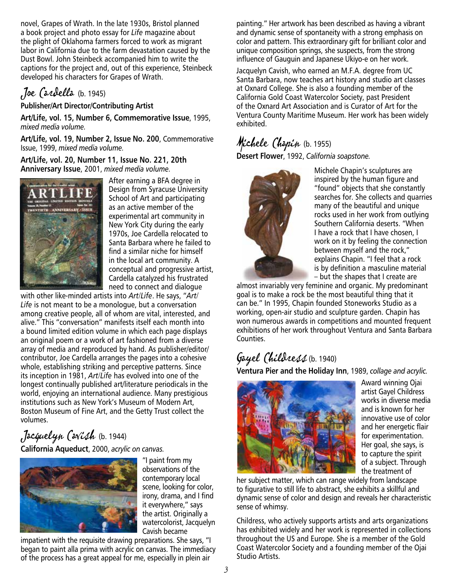novel, Grapes of Wrath. In the late 1930s, Bristol planned a book project and photo essay for *Life* magazine about the plight of Oklahoma farmers forced to work as migrant labor in California due to the farm devastation caused by the Dust Bowl. John Steinbeck accompanied him to write the captions for the project and, out of this experience, Steinbeck developed his characters for Grapes of Wrath.

#### Joe Cardella (b. 1945)

#### **Publisher/Art Director/Contributing Artist**

**Art/Life, vol. 15, Number 6, Commemorative Issue**, 1995, *mixed media volume.*

**Art/Life, vol. 19, Number 2, Issue No. 200**, Commemorative Issue, 1999, *mixed media volume.*

**Art/Life, vol. 20, Number 11, Issue No. 221, 20th Anniversary Issue**, 2001, *mixed media volume.*



After earning a BFA degree in Design from Syracuse University School of Art and participating as an active member of the experimental art community in New York City during the early 1970s, Joe Cardella relocated to Santa Barbara where he failed to find a similar niche for himself in the local art community. A conceptual and progressive artist, Cardella catalyzed his frustrated need to connect and dialogue

with other like-minded artists into *Art/Life*. He says, "*Art/ Life* is not meant to be a monologue, but a conversation among creative people, all of whom are vital, interested, and alive." This "conversation" manifests itself each month into a bound limited edition volume in which each page displays an original poem or a work of art fashioned from a diverse array of media and reproduced by hand. As publisher/editor/ contributor, Joe Cardella arranges the pages into a cohesive whole, establishing striking and perceptive patterns. Since its inception in 1981, *Art/Life* has evolved into one of the longest continually published art/literature periodicals in the world, enjoying an international audience. Many prestigious institutions such as New York's Museum of Modern Art, Boston Museum of Fine Art, and the Getty Trust collect the volumes.

#### Jacquelyn Cavish (b. 1944) **California Aqueduct**, 2000, *acrylic on canvas.*



"I paint from my observations of the contemporary local scene, looking for color, irony, drama, and I find it everywhere," says the artist. Originally a watercolorist, Jacquelyn Cavish became

impatient with the requisite drawing preparations. She says, "I began to paint alla prima with acrylic on canvas. The immediacy of the process has a great appeal for me, especially in plein air

painting." Her artwork has been described as having a vibrant and dynamic sense of spontaneity with a strong emphasis on color and pattern. This extraordinary gift for brilliant color and unique composition springs, she suspects, from the strong influence of Gauguin and Japanese Ukiyo-e on her work.

Jacquelyn Cavish, who earned an M.F.A. degree from UC Santa Barbara, now teaches art history and studio art classes at Oxnard College. She is also a founding member of the California Gold Coast Watercolor Society, past President of the Oxnard Art Association and is Curator of Art for the Ventura County Maritime Museum. Her work has been widely exhibited.

# Michele Chapin (b. 1955)

**Desert Flower**, 1992, *California soapstone.*



Michele Chapin's sculptures are inspired by the human figure and "found" objects that she constantly searches for. She collects and quarries many of the beautiful and unique rocks used in her work from outlying Southern California deserts. "When I have a rock that I have chosen, I work on it by feeling the connection between myself and the rock," explains Chapin. "I feel that a rock is by definition a masculine material – but the shapes that I create are

almost invariably very feminine and organic. My predominant goal is to make a rock be the most beautiful thing that it can be." In 1995, Chapin founded Stoneworks Studio as a working, open-air studio and sculpture garden. Chapin has won numerous awards in competitions and mounted frequent exhibitions of her work throughout Ventura and Santa Barbara Counties.

## Gayel Childress (b. 1940)

**Ventura Pier and the Holiday Inn**, 1989, *collage and acrylic.*



Award winning Ojai artist Gayel Childress works in diverse media and is known for her innovative use of color and her energetic flair for experimentation. Her goal, she says, is to capture the spirit of a subject. Through the treatment of

her subject matter, which can range widely from landscape to figurative to still life to abstract, she exhibits a skillful and dynamic sense of color and design and reveals her characteristic sense of whimsy.

Childress, who actively supports artists and arts organizations has exhibited widely and her work is represented in collections throughout the US and Europe. She is a member of the Gold Coast Watercolor Society and a founding member of the Ojai Studio Artists.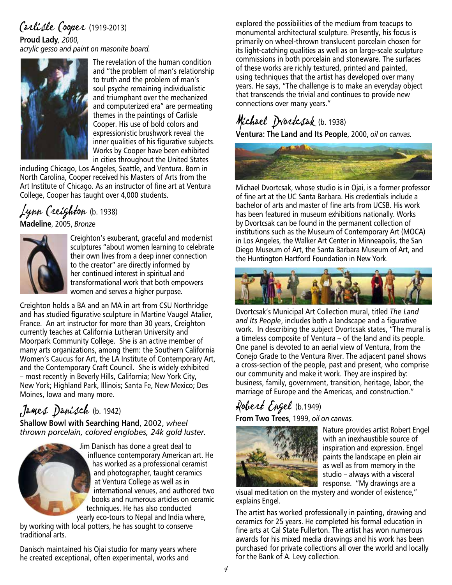# Carlisle Cooper (1919-2013)

**Proud Lady***, 2000,* 

*acrylic gesso and paint on masonite board.*



The revelation of the human condition and "the problem of man's relationship to truth and the problem of man's soul psyche remaining individualistic and triumphant over the mechanized and computerized era" are permeating themes in the paintings of Carlisle Cooper. His use of bold colors and expressionistic brushwork reveal the inner qualities of his figurative subjects. Works by Cooper have been exhibited in cities throughout the United States

including Chicago, Los Angeles, Seattle, and Ventura. Born in North Carolina, Cooper received his Masters of Arts from the Art Institute of Chicago. As an instructor of fine art at Ventura College, Cooper has taught over 4,000 students.

#### Lynn Creighton (b. 1938) **Madeline**, 2005, *Bronze*



Creighton's exuberant, graceful and modernist sculptures "about women learning to celebrate their own lives from a deep inner connection to the creator" are directly informed by her continued interest in spiritual and transformational work that both empowers women and serves a higher purpose.

Creighton holds a BA and an MA in art from CSU Northridge and has studied figurative sculpture in Martine Vaugel Atalier, France. An art instructor for more than 30 years, Creighton currently teaches at California Lutheran University and Moorpark Community College. She is an active member of many arts organizations, among them: the Southern California Women's Caucus for Art, the LA Institute of Contemporary Art, and the Contemporary Craft Council. She is widely exhibited – most recently in Beverly Hills, California; New York City, New York; Highland Park, Illinois; Santa Fe, New Mexico; Des Moines, Iowa and many more.

## James Danisch (b. 1942)

**Shallow Bowl with Searching Hand**, 2002, *wheel thrown porcelain, colored englobes, 24k gold luster.*



by working with local potters, he has sought to conserve traditional arts.

Danisch maintained his Ojai studio for many years where he created exceptional, often experimental, works and

explored the possibilities of the medium from teacups to monumental architectural sculpture. Presently, his focus is primarily on wheel-thrown translucent porcelain chosen for its light-catching qualities as well as on large-scale sculpture commissions in both porcelain and stoneware. The surfaces of these works are richly textured, printed and painted, using techniques that the artist has developed over many years. He says, "The challenge is to make an everyday object that transcends the trivial and continues to provide new connections over many years."

# Michael Dvortcsak (b. 1938)

**Ventura: The Land and Its People**, 2000, *oil on canvas.*



Michael Dvortcsak, whose studio is in Ojai, is a former professor of fine art at the UC Santa Barbara. His credentials include a bachelor of arts and master of fine arts from UCSB. His work has been featured in museum exhibitions nationally. Works by Dvortcsak can be found in the permanent collection of institutions such as the Museum of Contemporary Art (MOCA) in Los Angeles, the Walker Art Center in Minneapolis, the San Diego Museum of Art, the Santa Barbara Museum of Art, and the Huntington Hartford Foundation in New York.



Dvortcsak's Municipal Art Collection mural, titled *The Land and Its People*, includes both a landscape and a figurative work. In describing the subject Dvortcsak states, "The mural is a timeless composite of Ventura – of the land and its people. One panel is devoted to an aerial view of Ventura, from the Conejo Grade to the Ventura River. The adjacent panel shows a cross-section of the people, past and present, who comprise our community and make it work. They are inspired by: business, family, government, transition, heritage, labor, the marriage of Europe and the Americas, and construction."

# Robert Engel (b.1949)

**From Two Trees**, 1999, *oil on canvas.*



Nature provides artist Robert Engel with an inexhaustible source of inspiration and expression. Engel paints the landscape en plein air as well as from memory in the studio – always with a visceral response. "My drawings are a

visual meditation on the mystery and wonder of existence," explains Engel.

The artist has worked professionally in painting, drawing and ceramics for 25 years. He completed his formal education in fine arts at Cal State Fullerton. The artist has won numerous awards for his mixed media drawings and his work has been purchased for private collections all over the world and locally for the Bank of A. Levy collection.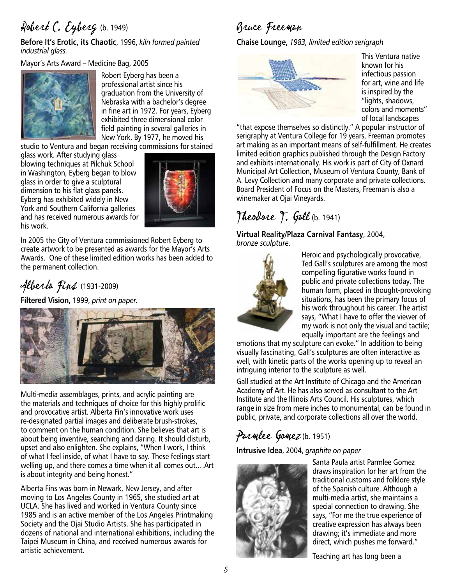# Robert C. Eyberg (b. 1949)

**Before It's Erotic, its Chaotic**, 1996, *kiln formed painted industrial glass.*

Mayor's Arts Award – Medicine Bag, 2005



Robert Eyberg has been a professional artist since his graduation from the University of Nebraska with a bachelor's degree in fine art in 1972. For years, Eyberg exhibited three dimensional color field painting in several galleries in New York. By 1977, he moved his

studio to Ventura and began receiving commissions for stained

glass work. After studying glass blowing techniques at Pilchuk School in Washington, Eyberg began to blow glass in order to give a sculptural dimension to his flat glass panels. Eyberg has exhibited widely in New York and Southern California galleries and has received numerous awards for his work.



In 2005 the City of Ventura commissioned Robert Eyberg to create artwork to be presented as awards for the Mayor's Arts Awards. One of these limited edition works has been added to the permanent collection.

# Alberta Fins (1931-2009)

**Filtered Vision**, 1999, *print on paper.* 



Multi-media assemblages, prints, and acrylic painting are the materials and techniques of choice for this highly prolific and provocative artist. Alberta Fin's innovative work uses re-designated partial images and deliberate brush-strokes, to comment on the human condition. She believes that art is about being inventive, searching and daring. It should disturb, upset and also enlighten. She explains, "When I work, I think of what I feel inside, of what I have to say. These feelings start welling up, and there comes a time when it all comes out.…Art is about integrity and being honest."

Alberta Fins was born in Newark, New Jersey, and after moving to Los Angeles County in 1965, she studied art at UCLA. She has lived and worked in Ventura County since 1985 and is an active member of the Los Angeles Printmaking Society and the Ojai Studio Artists. She has participated in dozens of national and international exhibitions, including the Taipei Museum in China, and received numerous awards for artistic achievement.

## Bruce Freeman

**Chaise Lounge,** *1983, limited edition serigraph*



This Ventura native known for his infectious passion for art, wine and life is inspired by the "lights, shadows, colors and moments" of local landscapes

"that expose themselves so distinctly." A popular instructor of serigraphy at Ventura College for 19 years, Freeman promotes art making as an important means of self-fulfillment. He creates limited edition graphics published through the Design Factory and exhibits internationally. His work is part of City of Oxnard Municipal Art Collection, Museum of Ventura County, Bank of A. Levy Collection and many corporate and private collections. Board President of Focus on the Masters, Freeman is also a winemaker at Ojai Vineyards.

## Theodore T. Gall (b. 1941)

**Virtual Reality/Plaza Carnival Fantasy**, 2004, *bronze sculpture.*



Heroic and psychologically provocative, Ted Gall's sculptures are among the most compelling figurative works found in public and private collections today. The human form, placed in thought-provoking situations, has been the primary focus of his work throughout his career. The artist says, "What I have to offer the viewer of my work is not only the visual and tactile; equally important are the feelings and

emotions that my sculpture can evoke." In addition to being visually fascinating, Gall's sculptures are often interactive as well, with kinetic parts of the works opening up to reveal an intriguing interior to the sculpture as well.

Gall studied at the Art Institute of Chicago and the American Academy of Art. He has also served as consultant to the Art Institute and the Illinois Arts Council. His sculptures, which range in size from mere inches to monumental, can be found in public, private, and corporate collections all over the world.

## Parmlee Gomez (b. 1951)

**Intrusive Idea**, 2004, *graphite on paper*



Santa Paula artist Parmlee Gomez draws inspiration for her art from the traditional customs and folklore style of the Spanish culture. Although a multi-media artist, she maintains a special connection to drawing. She says, "For me the true experience of creative expression has always been drawing; it's immediate and more direct, which pushes me forward."

Teaching art has long been a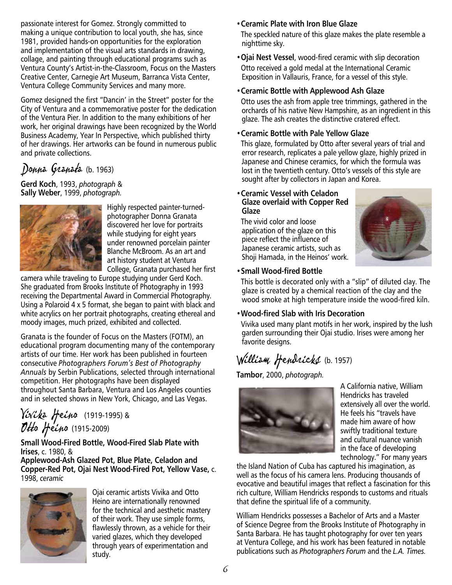passionate interest for Gomez. Strongly committed to making a unique contribution to local youth, she has, since 1981, provided hands-on opportunities for the exploration and implementation of the visual arts standards in drawing, collage, and painting through educational programs such as Ventura County's Artist-in-the-Classroom, Focus on the Masters Creative Center, Carnegie Art Museum, Barranca Vista Center, Ventura College Community Services and many more.

Gomez designed the first "Dancin' in the Street" poster for the City of Ventura and a commemorative poster for the dedication of the Ventura Pier. In addition to the many exhibitions of her work, her original drawings have been recognized by the World Business Academy, Year In Perspective, which published thirty of her drawings. Her artworks can be found in numerous public and private collections.

## Donna Granata (b. 1963)

**Gerd Koch**, 1993, *photograph* & **Sally Weber**, 1999, *photograph.*



Highly respected painter-turnedphotographer Donna Granata discovered her love for portraits while studying for eight years under renowned porcelain painter Blanche McBroom. As an art and art history student at Ventura College, Granata purchased her first

camera while traveling to Europe studying under Gerd Koch. She graduated from Brooks Institute of Photography in 1993 receiving the Departmental Award in Commercial Photography. Using a Polaroid 4 x 5 format, she began to paint with black and white acrylics on her portrait photographs, creating ethereal and moody images, much prized, exhibited and collected.

Granata is the founder of Focus on the Masters (FOTM), an educational program documenting many of the contemporary artists of our time. Her work has been published in fourteen consecutive *Photographers Forum's Best of Photography Annuals* by Serbin Publications, selected through international competition. Her photographs have been displayed throughout Santa Barbara, Ventura and Los Angeles counties and in selected shows in New York, Chicago, and Las Vegas.

#### Vivika Heino (1919-1995) & Otto Heino (1915-2009)

#### **Small Wood-Fired Bottle, Wood-Fired Slab Plate with Irises**, c. 1980, &

**Applewood-Ash Glazed Pot, Blue Plate, Celadon and Copper-Red Pot, Ojai Nest Wood-Fired Pot, Yellow Vase,** c. 1998, *ceramic*



Ojai ceramic artists Vivika and Otto Heino are internationally renowned for the technical and aesthetic mastery of their work. They use simple forms, flawlessly thrown, as a vehicle for their varied glazes, which they developed through years of experimentation and study.

#### •**Ceramic Plate with Iron Blue Glaze**

The speckled nature of this glaze makes the plate resemble a nighttime sky.

•**Ojai Nest Vessel**, wood-fired ceramic with slip decoration Otto received a gold medal at the International Ceramic Exposition in Vallauris, France, for a vessel of this style.

#### •**Ceramic Bottle with Applewood Ash Glaze**

Otto uses the ash from apple tree trimmings, gathered in the orchards of his native New Hampshire, as an ingredient in this glaze. The ash creates the distinctive cratered effect.

#### •**Ceramic Bottle with Pale Yellow Glaze**

This glaze, formulated by Otto after several years of trial and error research, replicates a pale yellow glaze, highly prized in Japanese and Chinese ceramics, for which the formula was lost in the twentieth century. Otto's vessels of this style are sought after by collectors in Japan and Korea.

#### •**Ceramic Vessel with Celadon Glaze overlaid with Copper Red Glaze**

The vivid color and loose application of the glaze on this piece reflect the influence of Japanese ceramic artists, such as Shoji Hamada, in the Heinos' work.



#### •**Small Wood-fired Bottle**

This bottle is decorated only with a "slip" of diluted clay. The glaze is created by a chemical reaction of the clay and the wood smoke at high temperature inside the wood-fired kiln.

#### •**Wood-fired Slab with Iris Decoration**

Vivika used many plant motifs in her work, inspired by the lush garden surrounding their Ojai studio. Irises were among her favorite designs.

# William Hendricks (b. 1957)

**Tambor**, 2000, *photograph.*



A California native, William Hendricks has traveled extensively all over the world. He feels his "travels have made him aware of how swiftly traditional texture and cultural nuance vanish in the face of developing technology." For many years

the Island Nation of Cuba has captured his imagination, as well as the focus of his camera lens. Producing thousands of evocative and beautiful images that reflect a fascination for this rich culture, William Hendricks responds to customs and rituals that define the spiritual life of a community.

William Hendricks possesses a Bachelor of Arts and a Master of Science Degree from the Brooks Institute of Photography in Santa Barbara. He has taught photography for over ten years at Ventura College, and his work has been featured in notable publications such as *Photographers Forum* and the *L.A. Times.*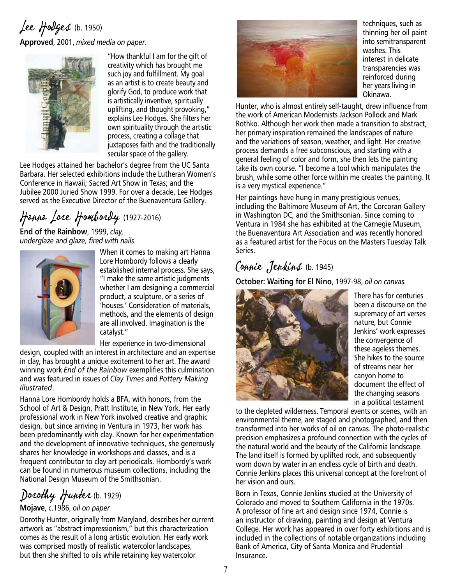#### Lee Hodges (b. 1950) **Approved**, 2001, *mixed media on paper.*



"How thankful I am for the gift of creativity which has brought me such joy and fulfillment. My goal as an artist is to create beauty and glorify God, to produce work that is artistically inventive, spiritually uplifting, and thought provoking," explains Lee Hodges. She filters her own spirituality through the artistic process, creating a collage that juxtaposes faith and the traditionally secular space of the gallery.

Lee Hodges attained her bachelor's degree from the UC Santa Barbara. Her selected exhibitions include the Lutheran Women's Conference in Hawaii; Sacred Art Show in Texas; and the Jubilee 2000 Juried Show 1999. For over a decade, Lee Hodges served as the Executive Director of the Buenaventura Gallery.

# Hanna Lore Hombordy (1927-2016)

**End of the Rainbow**, 1999, *clay, underglaze and glaze, fired with nails*



When it comes to making art Hanna Lore Hombordy follows a clearly established internal process. She says, "I make the same artistic judgments whether I am designing a commercial product, a sculpture, or a series of 'houses.' Consideration of materials, methods, and the elements of design are all involved. Imagination is the catalyst."

Her experience in two-dimensional

design, coupled with an interest in architecture and an expertise in clay, has brought a unique excitement to her art. The award winning work *End of the Rainbow* exemplifies this culmination and was featured in issues of *Clay Times* and *Pottery Making Illustrated*.

Hanna Lore Hombordy holds a BFA, with honors, from the School of Art & Design, Pratt Institute, in New York. Her early professional work in New York involved creative and graphic design, but since arriving in Ventura in 1973, her work has been predominantly with clay. Known for her experimentation and the development of innovative techniques, she generously shares her knowledge in workshops and classes, and is a frequent contributor to clay art periodicals. Hombordy's work can be found in numerous museum collections, including the National Design Museum of the Smithsonian.

Dorothy Hunter (b. 1929)

#### **Mojave**, c.1986, *oil on paper*

Dorothy Hunter, originally from Maryland, describes her current artwork as "abstract impressionism," but this characterization comes as the result of a long artistic evolution. Her early work was comprised mostly of realistic watercolor landscapes, but then she shifted to oils while retaining key watercolor



techniques, such as thinning her oil paint into semitransparent washes. This interest in delicate transparencies was reinforced during her years living in Okinawa.

Hunter, who is almost entirely self-taught, drew influence from the work of American Modernists Jackson Pollock and Mark Rothko. Although her work then made a transition to abstract, her primary inspiration remained the landscapes of nature and the variations of season, weather, and light. Her creative process demands a free subconscious, and starting with a general feeling of color and form, she then lets the painting take its own course. "I become a tool which manipulates the brush, while some other force within me creates the painting. It is a very mystical experience."

Her paintings have hung in many prestigious venues, including the Baltimore Museum of Art, the Corcoran Gallery in Washington DC, and the Smithsonian. Since coming to Ventura in 1984 she has exhibited at the Carnegie Museum, the Buenaventura Art Association and was recently honored as a featured artist for the Focus on the Masters Tuesday Talk Series.

#### Connie Jenkins (b. 1945)

**October: Waiting for El Nino**, 1997-98, *oil on canvas.*



There has for centuries been a discourse on the supremacy of art verses nature, but Connie Jenkins' work expresses the convergence of these ageless themes. She hikes to the source of streams near her canyon home to document the effect of the changing seasons in a political testament

to the depleted wilderness. Temporal events or scenes, with an environmental theme, are staged and photographed, and then transformed into her works of oil on canvas. The photo-realistic precision emphasizes a profound connection with the cycles of the natural world and the beauty of the California landscape. The land itself is formed by uplifted rock, and subsequently worn down by water in an endless cycle of birth and death. Connie Jenkins places this universal concept at the forefront of her vision and ours.

Born in Texas, Connie Jenkins studied at the University of Colorado and moved to Southern California in the 1970s. A professor of fine art and design since 1974, Connie is an instructor of drawing, painting and design at Ventura College. Her work has appeared in over forty exhibitions and is included in the collections of notable organizations including Bank of America, City of Santa Monica and Prudential Insurance.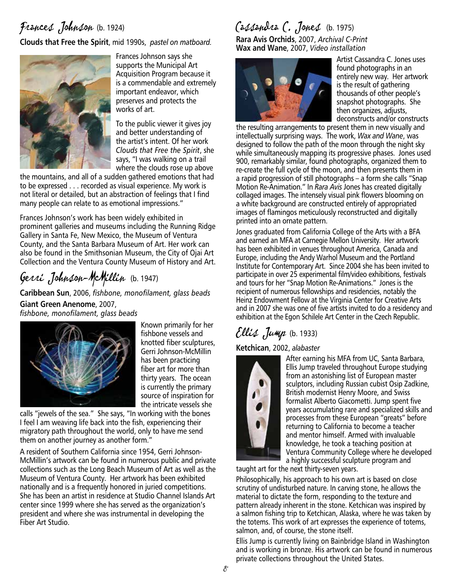## Frances Johnson (b. 1924)

**Clouds that Free the Spirit**, mid 1990s, *pastel on matboard.*



Frances Johnson says she supports the Municipal Art Acquisition Program because it is a commendable and extremely important endeavor, which preserves and protects the works of art.

To the public viewer it gives joy and better understanding of the artist's intent. Of her work *Clouds that Free the Spirit*, she says, "I was walking on a trail where the clouds rose up above

the mountains, and all of a sudden gathered emotions that had to be expressed . . . recorded as visual experience. My work is not literal or detailed, but an abstraction of feelings that I find many people can relate to as emotional impressions."

Frances Johnson's work has been widely exhibited in prominent galleries and museums including the Running Ridge Gallery in Santa Fe, New Mexico, the Museum of Ventura County, and the Santa Barbara Museum of Art. Her work can also be found in the Smithsonian Museum, the City of Ojai Art Collection and the Ventura County Museum of History and Art.

# Gerri Johnson-McMillin (b. 1947)

**Caribbean Sun**, 2006, *fishbone, monofilament, glass beads* **Giant Green Anenome**, 2007, *fishbone, monofilament, glass beads*



Known primarily for her fishbone vessels and knotted fiber sculptures, Gerri Johnson-McMillin has been practicing fiber art for more than thirty years. The ocean is currently the primary source of inspiration for the intricate vessels she

calls "jewels of the sea." She says, "In working with the bones I feel I am weaving life back into the fish, experiencing their migratory path throughout the world, only to have me send them on another journey as another form."

A resident of Southern California since 1954, Gerri Johnson-McMillin's artwork can be found in numerous public and private collections such as the Long Beach Museum of Art as well as the Museum of Ventura County. Her artwork has been exhibited nationally and is a frequently honored in juried competitions. She has been an artist in residence at Studio Channel Islands Art center since 1999 where she has served as the organization's president and where she was instrumental in developing the Fiber Art Studio.

# Cassandra C. Jones (b. 1975)

**Rara Avis Orchids**, 2007, *Archival C-Print* **Wax and Wane**, 2007, *Video installation*



Artist Cassandra C. Jones uses found photographs in an entirely new way. Her artwork is the result of gathering thousands of other people's snapshot photographs. She then organizes, adjusts, deconstructs and/or constructs

the resulting arrangements to present them in new visually and intellectually surprising ways. The work, *Wax and Wane*, was designed to follow the path of the moon through the night sky while simultaneously mapping its progressive phases. Jones used 900, remarkably similar, found photographs, organized them to re-create the full cycle of the moon, and then presents them in a rapid progression of still photographs – a form she calls "Snap Motion Re-Animation." In *Rara Avis* Jones has created digitally collaged images. The intensely visual pink flowers blooming on a white background are constructed entirely of appropriated images of flamingos meticulously reconstructed and digitally printed into an ornate pattern.

Jones graduated from California College of the Arts with a BFA and earned an MFA at Carnegie Mellon University. Her artwork has been exhibited in venues throughout America, Canada and Europe, including the Andy Warhol Museum and the Portland Institute for Contemporary Art. Since 2004 she has been invited to participate in over 25 experimental film/video exhibitions, festivals and tours for her "Snap Motion Re-Animations." Jones is the recipient of numerous fellowships and residencies, notably the Heinz Endowment Fellow at the Virginia Center for Creative Arts and in 2007 she was one of five artists invited to do a residency and exhibition at the Egon Schilele Art Center in the Czech Republic.

# $Ellis$  Jump (b. 1933)

#### **Ketchican**, 2002, *alabaster*



After earning his MFA from UC, Santa Barbara, Ellis Jump traveled throughout Europe studying from an astonishing list of European master sculptors, including Russian cubist Osip Zadkine, British modernist Henry Moore, and Swiss formalist Alberto Giacometti. Jump spent five years accumulating rare and specialized skills and processes from these European "greats" before returning to California to become a teacher and mentor himself. Armed with invaluable knowledge, he took a teaching position at Ventura Community College where he developed a highly successful sculpture program and

taught art for the next thirty-seven years.

Philosophically, his approach to his own art is based on close scrutiny of undisturbed nature. In carving stone, he allows the material to dictate the form, responding to the texture and pattern already inherent in the stone. Ketchican was inspired by a salmon fishing trip to Ketchican, Alaska, where he was taken by the totems. This work of art expresses the experience of totems, salmon, and, of course, the stone itself.

Ellis Jump is currently living on Bainbridge Island in Washington and is working in bronze. His artwork can be found in numerous private collections throughout the United States.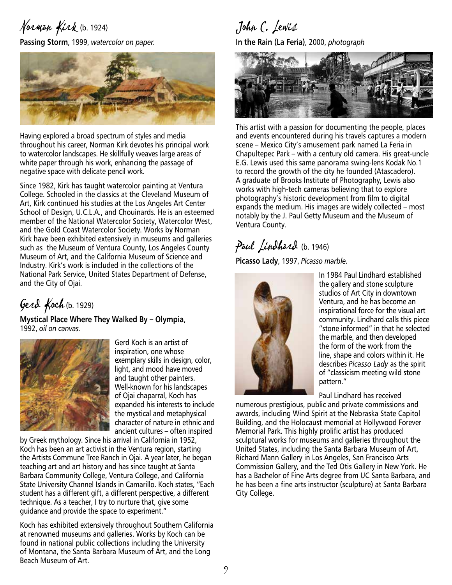# Norman Kirk (b. 1924)

**Passing Storm**, 1999, *watercolor on paper.*



Having explored a broad spectrum of styles and media throughout his career, Norman Kirk devotes his principal work to watercolor landscapes. He skillfully weaves large areas of white paper through his work, enhancing the passage of negative space with delicate pencil work.

Since 1982, Kirk has taught watercolor painting at Ventura College. Schooled in the classics at the Cleveland Museum of Art, Kirk continued his studies at the Los Angeles Art Center School of Design, U.C.L.A., and Chouinards. He is an esteemed member of the National Watercolor Society, Watercolor West, and the Gold Coast Watercolor Society. Works by Norman Kirk have been exhibited extensively in museums and galleries such as the Museum of Ventura County, Los Angeles County Museum of Art, and the California Museum of Science and Industry. Kirk's work is included in the collections of the National Park Service, United States Department of Defense, and the City of Ojai.

Gerd Koch (b. 1929)

**Mystical Place Where They Walked By – Olympia**, 1992, *oil on canvas.*



Gerd Koch is an artist of inspiration, one whose exemplary skills in design, color, light, and mood have moved and taught other painters. Well-known for his landscapes of Ojai chaparral, Koch has expanded his interests to include the mystical and metaphysical character of nature in ethnic and ancient cultures – often inspired

by Greek mythology. Since his arrival in California in 1952, Koch has been an art activist in the Ventura region, starting the Artists Commune Tree Ranch in Ojai. A year later, he began teaching art and art history and has since taught at Santa Barbara Community College, Ventura College, and California State University Channel Islands in Camarillo. Koch states, "Each student has a different gift, a different perspective, a different technique. As a teacher, I try to nurture that, give some guidance and provide the space to experiment."

Koch has exhibited extensively throughout Southern California at renowned museums and galleries. Works by Koch can be found in national public collections including the University of Montana, the Santa Barbara Museum of Art, and the Long Beach Museum of Art.

John C. Lewis

**In the Rain (La Feria)**, 2000, *photograph*



This artist with a passion for documenting the people, places and events encountered during his travels captures a modern scene – Mexico City's amusement park named La Feria in Chapultepec Park – with a century old camera. His great-uncle E.G. Lewis used this same panorama swing-lens Kodak No.1 to record the growth of the city he founded (Atascadero). A graduate of Brooks Institute of Photography, Lewis also works with high-tech cameras believing that to explore photography's historic development from film to digital expands the medium. His images are widely collected – most notably by the J. Paul Getty Museum and the Museum of Ventura County.

#### Paul Lindhard (b. 1946)

**Picasso Lady**, 1997, *Picasso marble.*



In 1984 Paul Lindhard established the gallery and stone sculpture studios of Art City in downtown Ventura, and he has become an inspirational force for the visual art community. Lindhard calls this piece "stone informed" in that he selected the marble, and then developed the form of the work from the line, shape and colors within it. He describes *Picasso Lady* as the spirit of "classicism meeting wild stone pattern."

Paul Lindhard has received

numerous prestigious, public and private commissions and awards, including Wind Spirit at the Nebraska State Capitol Building, and the Holocaust memorial at Hollywood Forever Memorial Park. This highly prolific artist has produced sculptural works for museums and galleries throughout the United States, including the Santa Barbara Museum of Art, Richard Mann Gallery in Los Angeles, San Francisco Arts Commission Gallery, and the Ted Otis Gallery in New York. He has a Bachelor of Fine Arts degree from UC Santa Barbara, and he has been a fine arts instructor (sculpture) at Santa Barbara City College.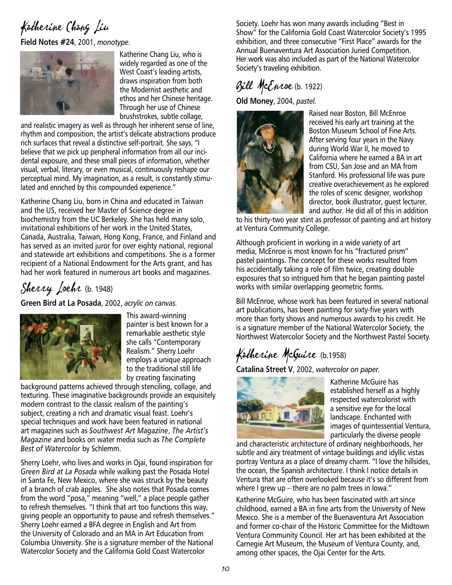# Katherine Chang Liu

**Field Notes #24**, 2001, *monotype.*



Katherine Chang Liu, who is widely regarded as one of the West Coast's leading artists, draws inspiration from both the Modernist aesthetic and ethos and her Chinese heritage. Through her use of Chinese brushstrokes, subtle collage,

and realistic imagery as well as through her inherent sense of line, rhythm and composition, the artist's delicate abstractions produce rich surfaces that reveal a distinctive self-portrait. She says, "I believe that we pick up peripheral information from all our incidental exposure, and these small pieces of information, whether visual, verbal, literary, or even musical, continuously reshape our perceptual mind. My imagination, as a result, is constantly stimulated and enriched by this compounded experience."

Katherine Chang Liu, born in China and educated in Taiwan and the US, received her Master of Science degree in biochemistry from the UC Berkeley. She has held many solo, invitational exhibitions of her work in the United States, Canada, Australia, Taiwan, Hong Kong, France, and Finland and has served as an invited juror for over eighty national, regional and statewide art exhibitions and competitions. She is a former recipient of a National Endowment for the Arts grant, and has had her work featured in numerous art books and magazines.

# Sherry Loehr (b. 1948)

**Green Bird at La Posada**, 2002, *acrylic on canvas.*



This award-winning painter is best known for a remarkable aesthetic style she calls "Contemporary Realism." Sherry Loehr employs a unique approach to the traditional still life by creating fascinating

background patterns achieved through stenciling, collage, and texturing. These imaginative backgrounds provide an exquisitely modern contrast to the classic realism of the painting's subject, creating a rich and dramatic visual feast. Loehr's special techniques and work have been featured in national art magazines such as *Southwest Art Magazine*, *The Artist's Magazine* and books on water media such as *The Complete Best of Watercolor* by Schlemm.

Sherry Loehr, who lives and works in Ojai, found inspiration for *Green Bird at La Posada* while walking past the Posada Hotel in Santa Fe, New Mexico, where she was struck by the beauty of a branch of crab apples. She also notes that Posada comes from the word "posa," meaning "well," a place people gather to refresh themselves. "I think that art too functions this way, giving people an opportunity to pause and refresh themselves." Sherry Loehr earned a BFA degree in English and Art from the University of Colorado and an MA in Art Education from Columbia University. She is a signature member of the National Watercolor Society and the California Gold Coast Watercolor

Society. Loehr has won many awards including "Best in Show" for the California Gold Coast Watercolor Society's 1995 exhibition, and three consecutive "First Place" awards for the Annual Buenaventura Art Association Juried Competition. Her work was also included as part of the National Watercolor Society's traveling exhibition.

#### Bill McEnroe (b. 1922)

**Old Money**, 2004, *pastel.*



Raised near Boston, Bill McEnroe received his early art training at the Boston Museum School of Fine Arts. After serving four years in the Navy during World War II, he moved to California where he earned a BA in art from CSU, San Jose and an MA from Stanford. His professional life was pure creative overachievement as he explored the roles of scenic designer, workshop director, book illustrator, guest lecturer, and author. He did all of this in addition

to his thirty-two year stint as professor of painting and art history at Ventura Community College.

Although proficient in working in a wide variety of art media, McEnroe is most known for his "fractured prism" pastel paintings. The concept for these works resulted from his accidentally taking a role of film twice, creating double exposures that so intrigued him that he began painting pastel works with similar overlapping geometric forms.

Bill McEnroe, whose work has been featured in several national art publications, has been painting for sixty-five years with more than forty shows and numerous awards to his credit. He is a signature member of the National Watercolor Society, the Northwest Watercolor Society and the Northwest Pastel Society.

# Katherine McGuire (b.1958)

**Catalina Street V**, 2002, *watercolor on paper.*



Katherine McGuire has established herself as a highly respected watercolorist with a sensitive eye for the local landscape. Enchanted with images of quintessential Ventura, particularly the diverse people

and characteristic architecture of ordinary neighborhoods, her subtle and airy treatment of vintage buildings and idyllic vistas portray Ventura as a place of dreamy charm. "I love the hillsides, the ocean, the Spanish architecture. I think I notice details in Ventura that are often overlooked because it's so different from where I grew up – there are no palm trees in Iowa."

Katherine McGuire, who has been fascinated with art since childhood, earned a BA in fine arts from the University of New Mexico. She is a member of the Buenaventura Art Association and former co-chair of the Historic Committee for the Midtown Ventura Community Council. Her art has been exhibited at the Carnegie Art Museum, the Museum of Ventura County, and, among other spaces, the Ojai Center for the Arts.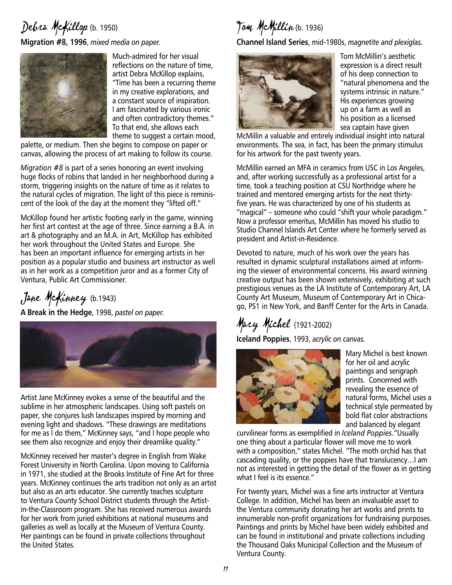#### Debra McKillop (b. 1950) **Migration #8, 1996**, *mixed media on paper.*



Much-admired for her visual reflections on the nature of time, artist Debra McKillop explains, "Time has been a recurring theme in my creative explorations, and a constant source of inspiration. I am fascinated by various ironic and often contradictory themes." To that end, she allows each theme to suggest a certain mood,

palette, or medium. Then she begins to compose on paper or canvas, allowing the process of art making to follow its course.

*Migration #8* is part of a series honoring an event involving huge flocks of robins that landed in her neighborhood during a storm, triggering insights on the nature of time as it relates to the natural cycles of migration. The light of this piece is reminiscent of the look of the day at the moment they "lifted off."

McKillop found her artistic footing early in the game, winning her first art contest at the age of three. Since earning a B.A. in art & photography and an M.A. in Art, McKillop has exhibited her work throughout the United States and Europe. She has been an important influence for emerging artists in her position as a popular studio and business art instructor as well as in her work as a competition juror and as a former City of Ventura, Public Art Commissioner.

Jane McKinney (b.1943)

**A Break in the Hedge**, 1998, *pastel on paper.*



Artist Jane McKinney evokes a sense of the beautiful and the sublime in her atmospheric landscapes. Using soft pastels on paper, she conjures lush landscapes inspired by morning and evening light and shadows. "These drawings are meditations for me as I do them," McKinney says, "and I hope people who see them also recognize and enjoy their dreamlike quality."

McKinney received her master's degree in English from Wake Forest University in North Carolina. Upon moving to California in 1971, she studied at the Brooks Institute of Fine Art for three years. McKinney continues the arts tradition not only as an artist but also as an arts educator. She currently teaches sculpture to Ventura County School District students through the Artistin-the-Classroom program. She has received numerous awards for her work from juried exhibitions at national museums and galleries as well as locally at the Museum of Ventura County. Her paintings can be found in private collections throughout the United States.

Tom McMillin (b. 1936)

**Channel Island Series**, mid-1980s, *magnetite and plexiglas.*



Tom McMillin's aesthetic expression is a direct result of his deep connection to "natural phenomena and the systems intrinsic in nature." His experiences growing up on a farm as well as his position as a licensed sea captain have given

McMillin a valuable and entirely individual insight into natural environments. The sea, in fact, has been the primary stimulus for his artwork for the past twenty years.

McMillin earned an MFA in ceramics from USC in Los Angeles, and, after working successfully as a professional artist for a time, took a teaching position at CSU Northridge where he trained and mentored emerging artists for the next thirtyfive years. He was characterized by one of his students as "magical" – someone who could "shift your whole paradigm." Now a professor emeritus, McMillin has moved his studio to Studio Channel Islands Art Center where he formerly served as president and Artist-in-Residence.

Devoted to nature, much of his work over the years has resulted in dynamic sculptural installations aimed at informing the viewer of environmental concerns. His award winning creative output has been shown extensively, exhibiting at such prestigious venues as the LA Institute of Contemporary Art, LA County Art Museum, Museum of Contemporary Art in Chicago, PS1 in New York, and Banff Center for the Arts in Canada.

# Mary Michel (1921-2002)

**Iceland Poppies**, 1993, *acrylic on canvas.*



Mary Michel is best known for her oil and acrylic paintings and serigraph prints. Concerned with revealing the essence of natural forms, Michel uses a technical style permeated by bold flat color abstractions and balanced by elegant

curvilinear forms as exemplified in *Iceland Poppies*."Usually one thing about a particular flower will move me to work with a composition," states Michel. "The moth orchid has that cascading quality, or the poppies have that translucency…I am not as interested in getting the detail of the flower as in getting what I feel is its essence."

For twenty years, Michel was a fine arts instructor at Ventura College. In addition, Michel has been an invaluable asset to the Ventura community donating her art works and prints to innumerable non-profit organizations for fundraising purposes. Paintings and prints by Michel have been widely exhibited and can be found in institutional and private collections including the Thousand Oaks Municipal Collection and the Museum of Ventura County.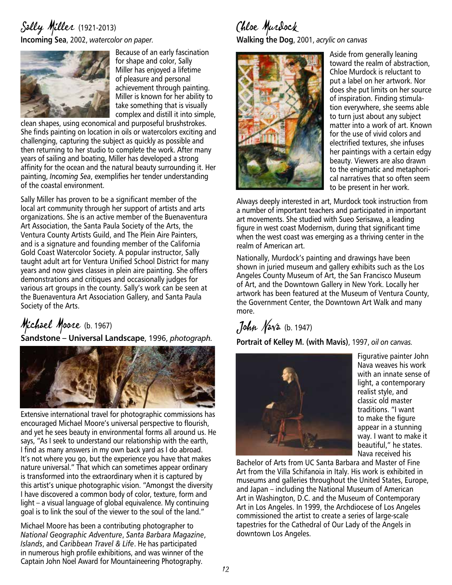#### Sally Miller (1921-2013) **Incoming Sea**, 2002, *watercolor on paper.*



Because of an early fascination for shape and color, Sally Miller has enjoyed a lifetime of pleasure and personal achievement through painting. Miller is known for her ability to take something that is visually complex and distill it into simple,

clean shapes, using economical and purposeful brushstrokes. She finds painting on location in oils or watercolors exciting and challenging, capturing the subject as quickly as possible and then returning to her studio to complete the work. After many years of sailing and boating, Miller has developed a strong affinity for the ocean and the natural beauty surrounding it. Her painting, *Incoming Sea*, exemplifies her tender understanding of the coastal environment.

Sally Miller has proven to be a significant member of the local art community through her support of artists and arts organizations. She is an active member of the Buenaventura Art Association, the Santa Paula Society of the Arts, the Ventura County Artists Guild, and The Plein Aire Painters, and is a signature and founding member of the California Gold Coast Watercolor Society. A popular instructor, Sally taught adult art for Ventura Unified School District for many years and now gives classes in plein aire painting. She offers demonstrations and critiques and occasionally judges for various art groups in the county. Sally's work can be seen at the Buenaventura Art Association Gallery, and Santa Paula Society of the Arts.

# Michael Moore (b. 1967)

**Sandstone – Universal Landscape**, 1996, *photograph.*



Extensive international travel for photographic commissions has encouraged Michael Moore's universal perspective to flourish, and yet he sees beauty in environmental forms all around us. He says, "As I seek to understand our relationship with the earth, I find as many answers in my own back yard as I do abroad. It's not where you go, but the experience you have that makes nature universal." That which can sometimes appear ordinary is transformed into the extraordinary when it is captured by this artist's unique photographic vision. "Amongst the diversity I have discovered a common body of color, texture, form and light – a visual language of global equivalence. My continuing goal is to link the soul of the viewer to the soul of the land."

Michael Moore has been a contributing photographer to *National Geographic Adventure*, *Santa Barbara Magazine*, *Islands*, and *Caribbean Travel & Life*. He has participated in numerous high profile exhibitions, and was winner of the Captain John Noel Award for Mountaineering Photography.

Chloe Murdock **Walking the Dog**, 2001, *acrylic on canvas*



Aside from generally leaning toward the realm of abstraction, Chloe Murdock is reluctant to put a label on her artwork. Nor does she put limits on her source of inspiration. Finding stimulation everywhere, she seems able to turn just about any subject matter into a work of art. Known for the use of vivid colors and electrified textures, she infuses her paintings with a certain edgy beauty. Viewers are also drawn to the enigmatic and metaphorical narratives that so often seem to be present in her work.

Always deeply interested in art, Murdock took instruction from a number of important teachers and participated in important art movements. She studied with Sueo Serisawa, a leading figure in west coast Modernism, during that significant time when the west coast was emerging as a thriving center in the realm of American art.

Nationally, Murdock's painting and drawings have been shown in juried museum and gallery exhibits such as the Los Angeles County Museum of Art, the San Francisco Museum of Art, and the Downtown Gallery in New York. Locally her artwork has been featured at the Museum of Ventura County, the Government Center, the Downtown Art Walk and many more.

# John Nava (b. 1947)

**Portrait of Kelley M. (with Mavis)**, 1997, *oil on canvas.*



Figurative painter John Nava weaves his work with an innate sense of light, a contemporary realist style, and classic old master traditions. "I want to make the figure appear in a stunning way. I want to make it beautiful," he states. Nava received his

Bachelor of Arts from UC Santa Barbara and Master of Fine Art from the Villa Schifanoia in Italy. His work is exhibited in museums and galleries throughout the United States, Europe, and Japan – including the National Museum of American Art in Washington, D.C. and the Museum of Contemporary Art in Los Angeles. In 1999, the Archdiocese of Los Angeles commissioned the artist to create a series of large-scale tapestries for the Cathedral of Our Lady of the Angels in downtown Los Angeles.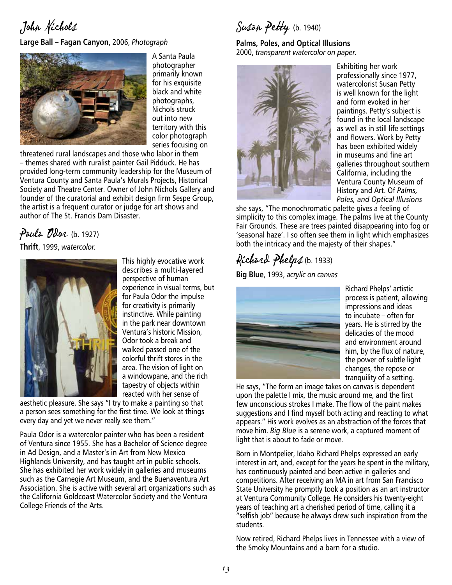John Nichols

**Large Ball – Fagan Canyon**, 2006, *Photograph*



A Santa Paula photographer primarily known for his exquisite black and white photographs, Nichols struck out into new territory with this color photograph series focusing on

threatened rural landscapes and those who labor in them – themes shared with ruralist painter Gail Pidduck. He has provided long-term community leadership for the Museum of Ventura County and Santa Paula's Murals Projects, Historical Society and Theatre Center. Owner of John Nichols Gallery and founder of the curatorial and exhibit design firm Sespe Group, the artist is a frequent curator or judge for art shows and author of The St. Francis Dam Disaster.

# Paula Odar (b. 1927)

**Thrift**, 1999, *watercolor.*



This highly evocative work describes a multi-layered perspective of human experience in visual terms, but for Paula Odor the impulse for creativity is primarily instinctive. While painting in the park near downtown Ventura's historic Mission, Odor took a break and walked passed one of the colorful thrift stores in the area. The vision of light on a windowpane, and the rich tapestry of objects within reacted with her sense of

aesthetic pleasure. She says "I try to make a painting so that a person sees something for the first time. We look at things every day and yet we never really see them."

Paula Odor is a watercolor painter who has been a resident of Ventura since 1955. She has a Bachelor of Science degree in Ad Design, and a Master's in Art from New Mexico Highlands University, and has taught art in public schools. She has exhibited her work widely in galleries and museums such as the Carnegie Art Museum, and the Buenaventura Art Association. She is active with several art organizations such as the California Goldcoast Watercolor Society and the Ventura College Friends of the Arts.

Susan Petty (b. 1940)

**Palms, Poles, and Optical Illusions** 2000, *transparent watercolor on paper.*



Exhibiting her work professionally since 1977, watercolorist Susan Petty is well known for the light and form evoked in her paintings. Petty's subject is found in the local landscape as well as in still life settings and flowers. Work by Petty has been exhibited widely in museums and fine art galleries throughout southern California, including the Ventura County Museum of History and Art. Of *Palms, Poles, and Optical Illusions*

she says, "The monochromatic palette gives a feeling of simplicity to this complex image. The palms live at the County Fair Grounds. These are trees painted disappearing into fog or 'seasonal haze'. I so often see them in light which emphasizes both the intricacy and the majesty of their shapes."

## Richard Phelps (b. 1933)

**Big Blue**, 1993, *acrylic on canvas*



Richard Phelps' artistic process is patient, allowing impressions and ideas to incubate – often for years. He is stirred by the delicacies of the mood and environment around him, by the flux of nature, the power of subtle light changes, the repose or tranquility of a setting.

He says, "The form an image takes on canvas is dependent upon the palette I mix, the music around me, and the first few unconscious strokes I make. The flow of the paint makes suggestions and I find myself both acting and reacting to what appears." His work evolves as an abstraction of the forces that move him. *Big Blue* is a serene work, a captured moment of light that is about to fade or move.

Born in Montpelier, Idaho Richard Phelps expressed an early interest in art, and, except for the years he spent in the military, has continuously painted and been active in galleries and competitions. After receiving an MA in art from San Francisco State University he promptly took a position as an art instructor at Ventura Community College. He considers his twenty-eight years of teaching art a cherished period of time, calling it a "selfish job" because he always drew such inspiration from the students.

Now retired, Richard Phelps lives in Tennessee with a view of the Smoky Mountains and a barn for a studio.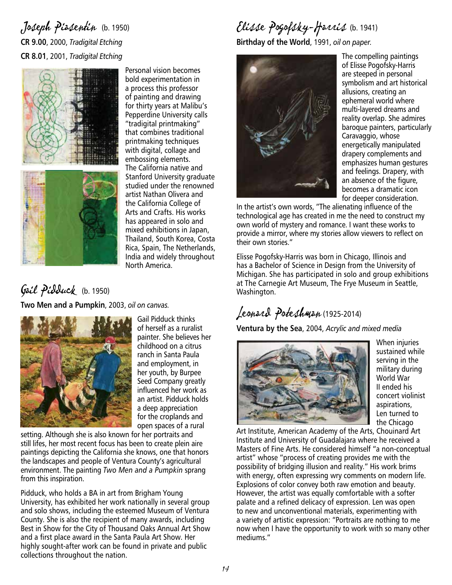#### Joseph Piasentin (b. 1950) **CR 9.00**, 2000, *Tradigital Etching* **CR 8.01**, 2001, *Tradigital Etching*



Personal vision becomes bold experimentation in a process this professor of painting and drawing for thirty years at Malibu's Pepperdine University calls "tradigital printmaking" that combines traditional printmaking techniques with digital, collage and embossing elements. The California native and Stanford University graduate studied under the renowned artist Nathan Olivera and the California College of Arts and Crafts. His works has appeared in solo and mixed exhibitions in Japan, Thailand, South Korea, Costa Rica, Spain, The Netherlands, India and widely throughout North America.

## Gail Pidduck (b. 1950)

**Two Men and a Pumpkin**, 2003, *oil on canvas.* 



Gail Pidduck thinks of herself as a ruralist painter. She believes her childhood on a citrus ranch in Santa Paula and employment, in her youth, by Burpee Seed Company greatly influenced her work as an artist. Pidduck holds a deep appreciation for the croplands and open spaces of a rural

setting. Although she is also known for her portraits and still lifes, her most recent focus has been to create plein aire paintings depicting the California she knows, one that honors the landscapes and people of Ventura County's agricultural environment. The painting *Two Men and a Pumpkin* sprang from this inspiration.

Pidduck, who holds a BA in art from Brigham Young University, has exhibited her work nationally in several group and solo shows, including the esteemed Museum of Ventura County. She is also the recipient of many awards, including Best in Show for the City of Thousand Oaks Annual Art Show and a first place award in the Santa Paula Art Show. Her highly sought-after work can be found in private and public collections throughout the nation.

# Elisse Pogofsky-Harris (b. 1941)

**Birthday of the World**, 1991, *oil on paper.*



The compelling paintings of Elisse Pogofsky-Harris are steeped in personal symbolism and art historical allusions, creating an ephemeral world where multi-layered dreams and reality overlap. She admires baroque painters, particularly Caravaggio, whose energetically manipulated drapery complements and emphasizes human gestures and feelings. Drapery, with an absence of the figure, becomes a dramatic icon for deeper consideration.

In the artist's own words, "The alienating influence of the technological age has created in me the need to construct my own world of mystery and romance. I want these works to provide a mirror, where my stories allow viewers to reflect on their own stories."

Elisse Pogofsky-Harris was born in Chicago, Illinois and has a Bachelor of Science in Design from the University of Michigan. She has participated in solo and group exhibitions at The Carnegie Art Museum, The Frye Museum in Seattle, Washington.

# Leonard Poteshman (1925-2014)

**Ventura by the Sea**, 2004, *Acrylic and mixed media*



When injuries sustained while serving in the military during World War II ended his concert violinist aspirations, Len turned to the Chicago

Art Institute, American Academy of the Arts, Chouinard Art Institute and University of Guadalajara where he received a Masters of Fine Arts. He considered himself "a non-conceptual artist" whose "process of creating provides me with the possibility of bridging illusion and reality." His work brims with energy, often expressing wry comments on modern life. Explosions of color convey both raw emotion and beauty. However, the artist was equally comfortable with a softer palate and a refined delicacy of expression. Len was open to new and unconventional materials, experimenting with a variety of artistic expression: "Portraits are nothing to me now when I have the opportunity to work with so many other mediums."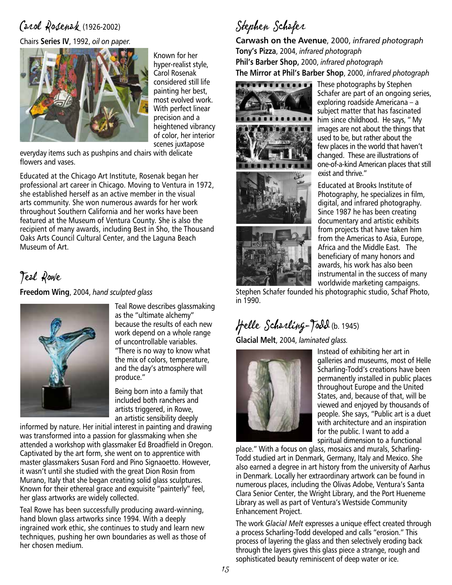## Carol Rosenak (1926-2002)

Chairs **Series IV**, 1992, *oil on paper.*



Known for her hyper-realist style, Carol Rosenak considered still life painting her best, most evolved work. With perfect linear precision and a heightened vibrancy of color, her interior scenes juxtapose

everyday items such as pushpins and chairs with delicate flowers and vases.

Educated at the Chicago Art Institute, Rosenak began her professional art career in Chicago. Moving to Ventura in 1972, she established herself as an active member in the visual arts community. She won numerous awards for her work throughout Southern California and her works have been featured at the Museum of Ventura County. She is also the recipient of many awards, including Best in Sho, the Thousand Oaks Arts Council Cultural Center, and the Laguna Beach Museum of Art.

Teal Rowe

**Freedom Wing**, 2004, *hand sculpted glass*



Teal Rowe describes glassmaking as the "ultimate alchemy" because the results of each new work depend on a whole range of uncontrollable variables. "There is no way to know what the mix of colors, temperature, and the day's atmosphere will produce."

Being born into a family that included both ranchers and artists triggered, in Rowe, an artistic sensibility deeply

informed by nature. Her initial interest in painting and drawing was transformed into a passion for glassmaking when she attended a workshop with glassmaker Ed Broadfield in Oregon. Captivated by the art form, she went on to apprentice with master glassmakers Susan Ford and Pino Signaoetto. However, it wasn't until she studied with the great Dion Rosin from Murano, Italy that she began creating solid glass sculptures. Known for their ethereal grace and exquisite "painterly" feel, her glass artworks are widely collected.

Teal Rowe has been successfully producing award-winning, hand blown glass artworks since 1994. With a deeply ingrained work ethic, she continues to study and learn new techniques, pushing her own boundaries as well as those of her chosen medium.

Stephen Schafer

**Carwash on the Avenue**, 2000, *infrared photograph* **Tony's Pizza**, 2004, *infrared photograph* **Phil's Barber Shop,** 2000, *infrared photograph* **The Mirror at Phil's Barber Shop**, 2000, *infrared photograph*





These photographs by Stephen Schafer are part of an ongoing series, exploring roadside Americana – a subject matter that has fascinated him since childhood. He says, " My images are not about the things that used to be, but rather about the few places in the world that haven't changed. These are illustrations of one-of-a-kind American places that still exist and thrive."

Educated at Brooks Institute of Photography, he specializes in film, digital, and infrared photography. Since 1987 he has been creating documentary and artistic exhibits from projects that have taken him from the Americas to Asia, Europe, Africa and the Middle East. The beneficiary of many honors and awards, his work has also been instrumental in the success of many worldwide marketing campaigns.

Stephen Schafer founded his photographic studio, Schaf Photo, in 1990.

# Helle Scharling-Todd (b. 1945)

**Glacial Melt**, 2004, *laminated glass.*



Instead of exhibiting her art in galleries and museums, most of Helle Scharling-Todd's creations have been permanently installed in public places throughout Europe and the United States, and, because of that, will be viewed and enjoyed by thousands of people. She says, "Public art is a duet with architecture and an inspiration for the public. I want to add a spiritual dimension to a functional

place." With a focus on glass, mosaics and murals, Scharling-Todd studied art in Denmark, Germany, Italy and Mexico. She also earned a degree in art history from the university of Aarhus in Denmark. Locally her extraordinary artwork can be found in numerous places, including the Olivas Adobe, Ventura's Santa Clara Senior Center, the Wright Library, and the Port Hueneme Library as well as part of Ventura's Westside Community Enhancement Project.

The work *Glacial Melt* expresses a unique effect created through a process Scharling-Todd developed and calls "erosion." This process of layering the glass and then selectively eroding back through the layers gives this glass piece a strange, rough and sophisticated beauty reminiscent of deep water or ice.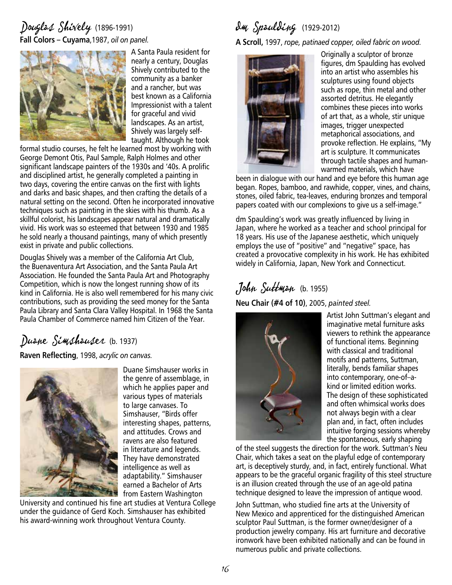#### Douglas Shively (1896-1991) **Fall Colors – Cuyama**,1987, *oil on panel.*



A Santa Paula resident for nearly a century, Douglas Shively contributed to the community as a banker and a rancher, but was best known as a California Impressionist with a talent for graceful and vivid landscapes. As an artist, Shively was largely selftaught. Although he took

formal studio courses, he felt he learned most by working with George Demont Otis, Paul Sample, Ralph Holmes and other significant landscape painters of the 1930s and '40s. A prolific and disciplined artist, he generally completed a painting in two days, covering the entire canvas on the first with lights and darks and basic shapes, and then crafting the details of a natural setting on the second. Often he incorporated innovative techniques such as painting in the skies with his thumb. As a skillful colorist, his landscapes appear natural and dramatically vivid. His work was so esteemed that between 1930 and 1985 he sold nearly a thousand paintings, many of which presently exist in private and public collections.

Douglas Shively was a member of the California Art Club, the Buenaventura Art Association, and the Santa Paula Art Association. He founded the Santa Paula Art and Photography Competition, which is now the longest running show of its kind in California. He is also well remembered for his many civic contributions, such as providing the seed money for the Santa Paula Library and Santa Clara Valley Hospital. In 1968 the Santa Paula Chamber of Commerce named him Citizen of the Year.

#### Duane Simshauser (b. 1937)

**Raven Reflecting**, 1998, *acrylic on canvas.*



Duane Simshauser works in the genre of assemblage, in which he applies paper and various types of materials to large canvases. To Simshauser, "Birds offer interesting shapes, patterns, and attitudes. Crows and ravens are also featured in literature and legends. They have demonstrated intelligence as well as adaptability." Simshauser earned a Bachelor of Arts from Eastern Washington

University and continued his fine art studies at Ventura College under the guidance of Gerd Koch. Simshauser has exhibited his award-winning work throughout Ventura County.

# dm Spaulding (1929-2012)

**A Scroll,** 1997, *rope, patinaed copper, oiled fabric on wood.*



Originally a sculptor of bronze figures, dm Spaulding has evolved into an artist who assembles his sculptures using found objects such as rope, thin metal and other assorted detritus. He elegantly combines these pieces into works of art that, as a whole, stir unique images, trigger unexpected metaphorical associations, and provoke reflection. He explains, "My art is sculpture. It communicates through tactile shapes and humanwarmed materials, which have

been in dialogue with our hand and eye before this human age began. Ropes, bamboo, and rawhide, copper, vines, and chains, stones, oiled fabric, tea-leaves, enduring bronzes and temporal papers coated with our complexions to give us a self-image."

dm Spaulding's work was greatly influenced by living in Japan, where he worked as a teacher and school principal for 18 years. His use of the Japanese aesthetic, which uniquely employs the use of "positive" and "negative" space, has created a provocative complexity in his work. He has exhibited widely in California, Japan, New York and Connecticut.

## John Suttman (b. 1955)

**Neu Chair (#4 of 10)**, 2005, *painted steel.*



Artist John Suttman's elegant and imaginative metal furniture asks viewers to rethink the appearance of functional items. Beginning with classical and traditional motifs and patterns, Suttman, literally, bends familiar shapes into contemporary, one-of–akind or limited edition works. The design of these sophisticated and often whimsical works does not always begin with a clear plan and, in fact, often includes intuitive forging sessions whereby the spontaneous, early shaping

of the steel suggests the direction for the work. Suttman's Neu Chair, which takes a seat on the playful edge of contemporary art, is deceptively sturdy, and, in fact, entirely functional. What appears to be the graceful organic fragility of this steel structure is an illusion created through the use of an age-old patina technique designed to leave the impression of antique wood.

John Suttman, who studied fine arts at the University of New Mexico and apprenticed for the distinguished American sculptor Paul Suttman, is the former owner/designer of a production jewelry company. His art furniture and decorative ironwork have been exhibited nationally and can be found in numerous public and private collections.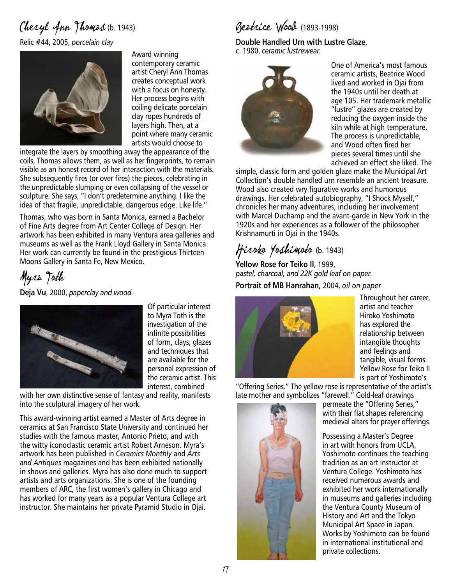# Cheryl Ann Thomas (b. 1943)

Relic #44, 2005, *porcelain clay*



Award winning contemporary ceramic artist Cheryl Ann Thomas creates conceptual work with a focus on honesty. Her process begins with coiling delicate porcelain clay ropes hundreds of layers high. Then, at a point where many ceramic artists would choose to

integrate the layers by smoothing away the appearance of the coils, Thomas allows them, as well as her fingerprints, to remain visible as an honest record of her interaction with the materials. She subsequently fires (or over fires) the pieces, celebrating in the unpredictable slumping or even collapsing of the vessel or sculpture. She says, "I don't predetermine anything. I like the idea of that fragile, unpredictable, dangerous edge. Like life."

Thomas, who was born in Santa Monica, earned a Bachelor of Fine Arts degree from Art Center College of Design. Her artwork has been exhibited in many Ventura area galleries and museums as well as the Frank Lloyd Gallery in Santa Monica. Her work can currently be found in the prestigious Thirteen Moons Gallery in Santa Fe, New Mexico.

Myra Toth

**Deja Vu**, 2000, *paperclay and wood.*



Of particular interest to Myra Toth is the investigation of the infinite possibilities of form, clays, glazes and techniques that are available for the personal expression of the ceramic artist. This interest, combined

with her own distinctive sense of fantasy and reality, manifests into the sculptural imagery of her work.

This award-winning artist earned a Master of Arts degree in ceramics at San Francisco State University and continued her studies with the famous master, Antonio Prieto, and with the witty iconoclastic ceramic artist Robert Arneson. Myra's artwork has been published in *Ceramics Monthly* and *Arts and Antiques* magazines and has been exhibited nationally in shows and galleries. Myra has also done much to support artists and arts organizations. She is one of the founding members of ARC, the first women's gallery in Chicago and has worked for many years as a popular Ventura College art instructor. She maintains her private Pyramid Studio in Ojai.

#### Beatrice Wood (1893-1998)

**Double Handled Urn with Lustre Glaze**, c. 1980, *ceramic lustrewear.*



One of America's most famous ceramic artists, Beatrice Wood lived and worked in Ojai from the 1940s until her death at age 105. Her trademark metallic "lustre" glazes are created by reducing the oxygen inside the kiln while at high temperature. The process is unpredictable, and Wood often fired her pieces several times until she achieved an effect she liked. The

simple, classic form and golden glaze make the Municipal Art Collection's double handled urn resemble an ancient treasure. Wood also created wry figurative works and humorous drawings. Her celebrated autobiography, "I Shock Myself," chronicles her many adventures, including her involvement with Marcel Duchamp and the avant-garde in New York in the 1920s and her experiences as a follower of the philosopher Krishnamurti in Ojai in the 1940s.

## Hiroko Yoshimoto (b. 1943)

**Yellow Rose for Teiko II**, 1999, *pastel, charcoal, and 22K gold leaf on paper.*

**Portrait of MB Hanrahan,** 2004, *oil on paper*



Throughout her career, artist and teacher Hiroko Yoshimoto has explored the relationship between intangible thoughts and feelings and tangible, visual forms. Yellow Rose for Teiko II is part of Yoshimoto's

"Offering Series." The yellow rose is representative of the artist's late mother and symbolizes "farewell." Gold-leaf drawings



permeate the "Offering Series," with their flat shapes referencing medieval altars for prayer offerings.

Possessing a Master's Degree in art with honors from UCLA, Yoshimoto continues the teaching tradition as an art instructor at Ventura College. Yoshimoto has received numerous awards and exhibited her work internationally in museums and galleries including the Ventura County Museum of History and Art and the Tokyo Municipal Art Space in Japan. Works by Yoshimoto can be found in international institutional and private collections.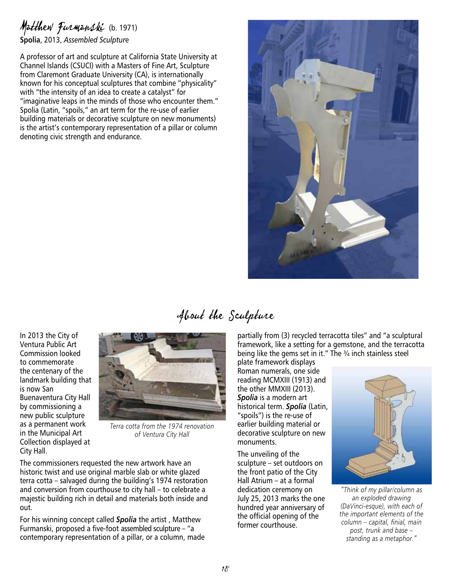#### Matthew Furmanski (b. 1971) **Spolia**, 2013, *Assembled Sculptur*e

A professor of art and sculpture at California State University at Channel Islands (CSUCI) with a Masters of Fine Art, Sculpture from Claremont Graduate University (CA), is internationally known for his conceptual sculptures that combine "physicality" with "the intensity of an idea to create a catalyst" for "imaginative leaps in the minds of those who encounter them." Spolia (Latin, "spoils," an art term for the re-use of earlier building materials or decorative sculpture on new monuments) is the artist's contemporary representation of a pillar or column denoting civic strength and endurance.



## About the Sculpture

In 2013 the City of Ventura Public Art Commission looked to commemorate the centenary of the landmark building that is now San Buenaventura City Hall by commissioning a new public sculpture as a permanent work in the Municipal Art Collection displayed at City Hall.



*Terra cotta from the 1974 renovation of Ventura City Hall*

The commissioners requested the new artwork have an historic twist and use original marble slab or white glazed terra cotta – salvaged during the building's 1974 restoration and conversion from courthouse to city hall – to celebrate a majestic building rich in detail and materials both inside and out.

For his winning concept called *Spolia* the artist , Matthew Furmanski, proposed a five-foot assembled sculpture – "a contemporary representation of a pillar, or a column, made partially from (3) recycled terracotta tiles" and "a sculptural framework, like a setting for a gemstone, and the terracotta being like the gems set in it." The ¾ inch stainless steel

plate framework displays Roman numerals, one side reading MCMXIII (1913) and the other MMXIII (2013). *Spolia* is a modern art historical term. *Spolia* (Latin, "spoils") is the re-use of earlier building material or decorative sculpture on new monuments.

The unveiling of the sculpture – set outdoors on the front patio of the City Hall Atrium – at a formal dedication ceremony on July 25, 2013 marks the one hundred year anniversary of the official opening of the former courthouse.



*"Think of my pillar/column as an exploded drawing (DaVinci-esque), with each of the important elements of the column – capital, finial, main post, trunk and base – standing as a metaphor."*